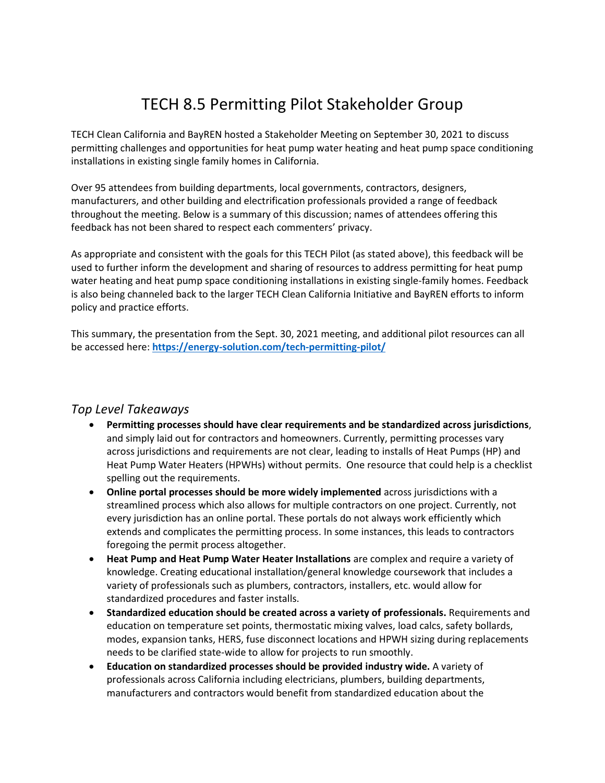## TECH 8.5 Permitting Pilot Stakeholder Group

TECH Clean California and BayREN hosted a Stakeholder Meeting on September 30, 2021 to discuss permitting challenges and opportunities for heat pump water heating and heat pump space conditioning installations in existing single family homes in California.

Over 95 attendees from building departments, local governments, contractors, designers, manufacturers, and other building and electrification professionals provided a range of feedback throughout the meeting. Below is a summary of this discussion; names of attendees offering this feedback has not been shared to respect each commenters' privacy.

As appropriate and consistent with the goals for this TECH Pilot (as stated above), this feedback will be used to further inform the development and sharing of resources to address permitting for heat pump water heating and heat pump space conditioning installations in existing single-family homes. Feedback is also being channeled back to the larger TECH Clean California Initiative and BayREN efforts to inform policy and practice efforts.

This summary, the presentation from the Sept. 30, 2021 meeting, and additional pilot resources can all be accessed here: **<https://energy-solution.com/tech-permitting-pilot/>**

## *Top Level Takeaways*

- **Permitting processes should have clear requirements and be standardized across jurisdictions**, and simply laid out for contractors and homeowners. Currently, permitting processes vary across jurisdictions and requirements are not clear, leading to installs of Heat Pumps (HP) and Heat Pump Water Heaters (HPWHs) without permits. One resource that could help is a checklist spelling out the requirements.
- **Online portal processes should be more widely implemented** across jurisdictions with a streamlined process which also allows for multiple contractors on one project. Currently, not every jurisdiction has an online portal. These portals do not always work efficiently which extends and complicates the permitting process. In some instances, this leads to contractors foregoing the permit process altogether.
- **Heat Pump and Heat Pump Water Heater Installations** are complex and require a variety of knowledge. Creating educational installation/general knowledge coursework that includes a variety of professionals such as plumbers, contractors, installers, etc. would allow for standardized procedures and faster installs.
- **Standardized education should be created across a variety of professionals.** Requirements and education on temperature set points, thermostatic mixing valves, load calcs, safety bollards, modes, expansion tanks, HERS, fuse disconnect locations and HPWH sizing during replacements needs to be clarified state-wide to allow for projects to run smoothly.
- **Education on standardized processes should be provided industry wide.** A variety of professionals across California including electricians, plumbers, building departments, manufacturers and contractors would benefit from standardized education about the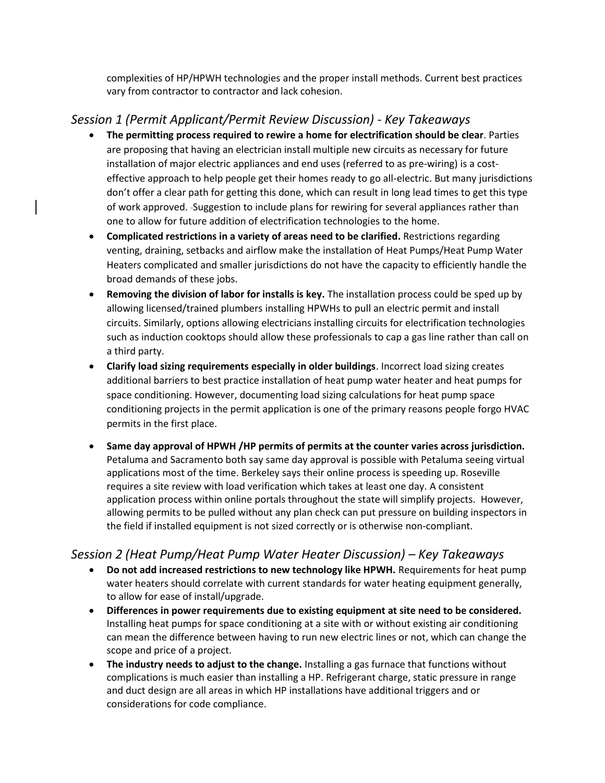complexities of HP/HPWH technologies and the proper install methods. Current best practices vary from contractor to contractor and lack cohesion.

## *Session 1 (Permit Applicant/Permit Review Discussion) - Key Takeaways*

- **The permitting process required to rewire a home for electrification should be clear**. Parties are proposing that having an electrician install multiple new circuits as necessary for future installation of major electric appliances and end uses (referred to as pre-wiring) is a costeffective approach to help people get their homes ready to go all-electric. But many jurisdictions don't offer a clear path for getting this done, which can result in long lead times to get this type of work approved. Suggestion to include plans for rewiring for several appliances rather than one to allow for future addition of electrification technologies to the home.
- **Complicated restrictions in a variety of areas need to be clarified.** Restrictions regarding venting, draining, setbacks and airflow make the installation of Heat Pumps/Heat Pump Water Heaters complicated and smaller jurisdictions do not have the capacity to efficiently handle the broad demands of these jobs.
- **Removing the division of labor for installs is key.** The installation process could be sped up by allowing licensed/trained plumbers installing HPWHs to pull an electric permit and install circuits. Similarly, options allowing electricians installing circuits for electrification technologies such as induction cooktops should allow these professionals to cap a gas line rather than call on a third party.
- **Clarify load sizing requirements especially in older buildings**. Incorrect load sizing creates additional barriers to best practice installation of heat pump water heater and heat pumps for space conditioning. However, documenting load sizing calculations for heat pump space conditioning projects in the permit application is one of the primary reasons people forgo HVAC permits in the first place.
- **Same day approval of HPWH /HP permits of permits at the counter varies across jurisdiction.**  Petaluma and Sacramento both say same day approval is possible with Petaluma seeing virtual applications most of the time. Berkeley says their online process is speeding up. Roseville requires a site review with load verification which takes at least one day. A consistent application process within online portals throughout the state will simplify projects. However, allowing permits to be pulled without any plan check can put pressure on building inspectors in the field if installed equipment is not sized correctly or is otherwise non-compliant.

## *Session 2 (Heat Pump/Heat Pump Water Heater Discussion) – Key Takeaways*

- **Do not add increased restrictions to new technology like HPWH.** Requirements for heat pump water heaters should correlate with current standards for water heating equipment generally, to allow for ease of install/upgrade.
- **Differences in power requirements due to existing equipment at site need to be considered.**  Installing heat pumps for space conditioning at a site with or without existing air conditioning can mean the difference between having to run new electric lines or not, which can change the scope and price of a project.
- **The industry needs to adjust to the change.** Installing a gas furnace that functions without complications is much easier than installing a HP. Refrigerant charge, static pressure in range and duct design are all areas in which HP installations have additional triggers and or considerations for code compliance.